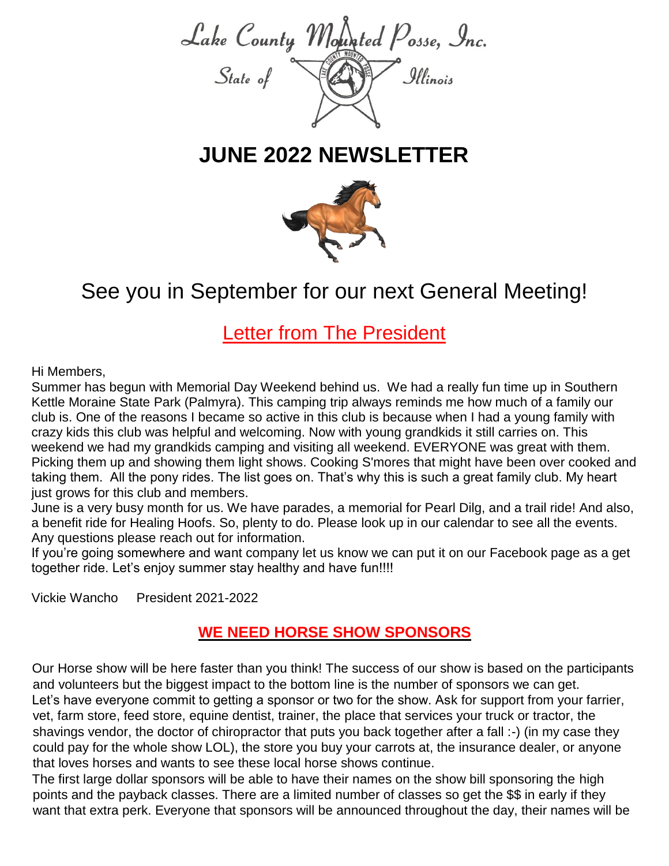

# **JUNE 2022 NEWSLETTER**



# See you in Septemb[er f](https://creativecommons.org/licenses/by/3.0/)or [our n](https://creativecommons.org/licenses/by/3.0/)ext General Meeting!

**Letter from The President** 

#### Hi Members,

Summer has begun with Memorial Day Weekend behind us. We had a really fun time up in Southern Kettle Moraine State Park (Palmyra). This camping trip always reminds me how much of a family our club is. One of the reasons I became so active in this club is because when I had a young family with crazy kids this club was helpful and welcoming. Now with young grandkids it still carries on. This weekend we had my grandkids camping and visiting all weekend. EVERYONE was great with them. Picking them up and showing them light shows. Cooking S'mores that might have been over cooked and taking them. All the pony rides. The list goes on. That's why this is such a great family club. My heart just grows for this club and members.

June is a very busy month for us. We have parades, a memorial for Pearl Dilg, and a trail ride! And also, a benefit ride for Healing Hoofs. So, plenty to do. Please look up in our calendar to see all the events. Any questions please reach out for information.

If you're going somewhere and want company let us know we can put it on our Facebook page as a get together ride. Let's enjoy summer stay healthy and have fun!!!!

Vickie Wancho President 2021-2022

### **WE NEED HORSE SHOW SPONSORS**

Our Horse show will be here faster than you think! The success of our show is based on the participants and volunteers but the biggest impact to the bottom line is the number of sponsors we can get. Let's have everyone commit to getting a sponsor or two for the show. Ask for support from your farrier, vet, farm store, feed store, equine dentist, trainer, the place that services your truck or tractor, the shavings vendor, the doctor of chiropractor that puts you back together after a fall :-) (in my case they could pay for the whole show LOL), the store you buy your carrots at, the insurance dealer, or anyone that loves horses and wants to see these local horse shows continue.

The first large dollar sponsors will be able to have their names on the show bill sponsoring the high points and the payback classes. There are a limited number of classes so get the \$\$ in early if they want that extra perk. Everyone that sponsors will be announced throughout the day, their names will be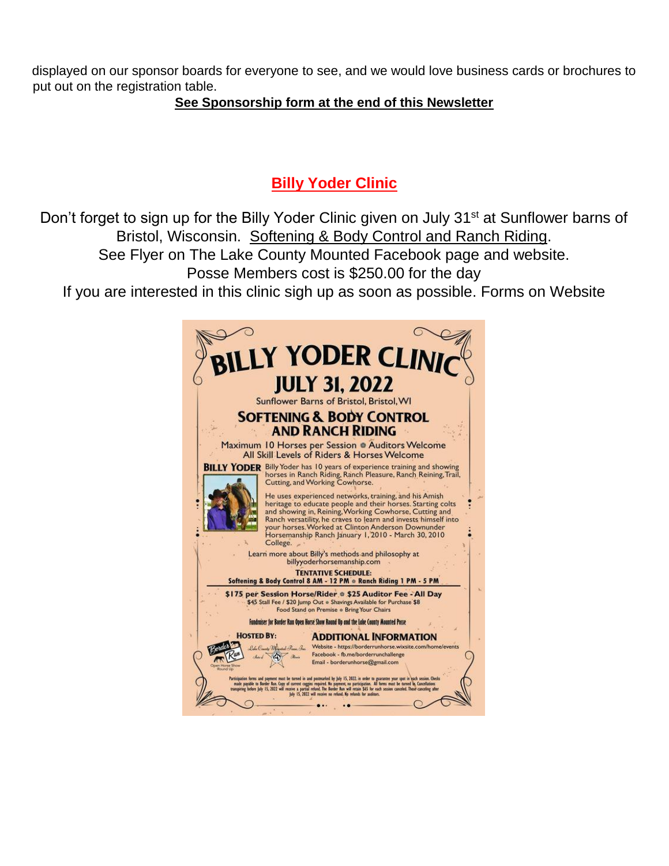displayed on our sponsor boards for everyone to see, and we would love business cards or brochures to put out on the registration table.

#### **See Sponsorship form at the end of this Newsletter**

# **Billy Yoder Clinic**

Don't forget to sign up for the Billy Yoder Clinic given on July 31<sup>st</sup> at Sunflower barns of Bristol, Wisconsin. Softening & Body Control and Ranch Riding. See Flyer on The Lake County Mounted Facebook page and website. Posse Members cost is \$250.00 for the day If you are interested in this clinic sigh up as soon as possible. Forms on Website

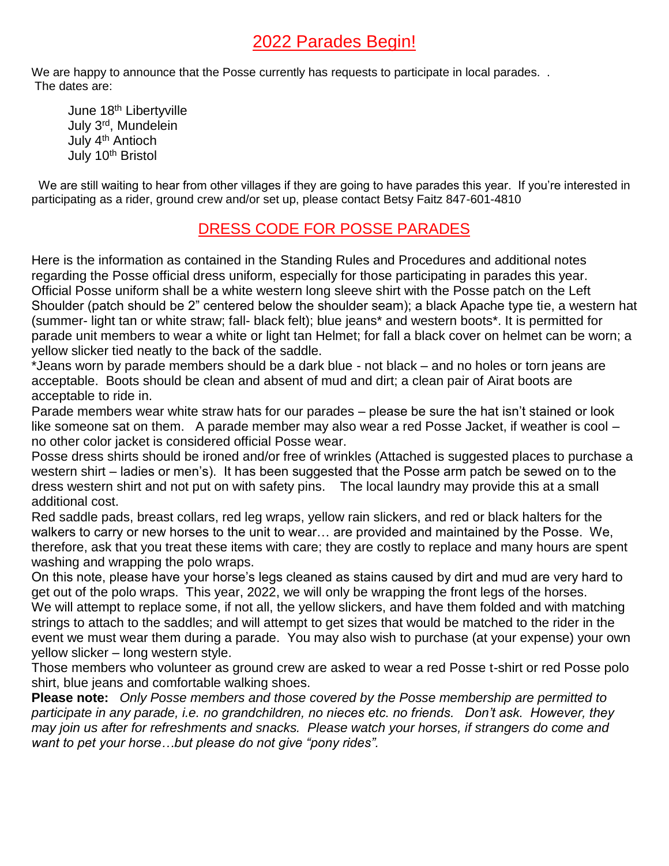# 2022 Parades Begin!

We are happy to announce that the Posse currently has requests to participate in local parades. . The dates are:

June 18<sup>th</sup> Libertyville July 3 rd , Mundelein July 4th Antioch July 10<sup>th</sup> Bristol

We are still waiting to hear from other villages if they are going to have parades this year. If you're interested in participating as a rider, ground crew and/or set up, please contact Betsy Faitz 847-601-4810

## DRESS CODE FOR POSSE PARADES

Here is the information as contained in the Standing Rules and Procedures and additional notes regarding the Posse official dress uniform, especially for those participating in parades this year. Official Posse uniform shall be a white western long sleeve shirt with the Posse patch on the Left Shoulder (patch should be 2" centered below the shoulder seam); a black Apache type tie, a western hat (summer- light tan or white straw; fall- black felt); blue jeans\* and western boots\*. It is permitted for parade unit members to wear a white or light tan Helmet; for fall a black cover on helmet can be worn; a yellow slicker tied neatly to the back of the saddle.

\*Jeans worn by parade members should be a dark blue - not black – and no holes or torn jeans are acceptable. Boots should be clean and absent of mud and dirt; a clean pair of Airat boots are acceptable to ride in.

Parade members wear white straw hats for our parades – please be sure the hat isn't stained or look like someone sat on them. A parade member may also wear a red Posse Jacket, if weather is cool – no other color jacket is considered official Posse wear.

Posse dress shirts should be ironed and/or free of wrinkles (Attached is suggested places to purchase a western shirt – ladies or men's). It has been suggested that the Posse arm patch be sewed on to the dress western shirt and not put on with safety pins. The local laundry may provide this at a small additional cost.

Red saddle pads, breast collars, red leg wraps, yellow rain slickers, and red or black halters for the walkers to carry or new horses to the unit to wear… are provided and maintained by the Posse. We, therefore, ask that you treat these items with care; they are costly to replace and many hours are spent washing and wrapping the polo wraps.

On this note, please have your horse's legs cleaned as stains caused by dirt and mud are very hard to get out of the polo wraps. This year, 2022, we will only be wrapping the front legs of the horses. We will attempt to replace some, if not all, the yellow slickers, and have them folded and with matching strings to attach to the saddles; and will attempt to get sizes that would be matched to the rider in the event we must wear them during a parade. You may also wish to purchase (at your expense) your own yellow slicker – long western style.

Those members who volunteer as ground crew are asked to wear a red Posse t-shirt or red Posse polo shirt, blue jeans and comfortable walking shoes.

**Please note:** *Only Posse members and those covered by the Posse membership are permitted to participate in any parade, i.e. no grandchildren, no nieces etc. no friends. Don't ask. However, they may join us after for refreshments and snacks. Please watch your horses, if strangers do come and want to pet your horse…but please do not give "pony rides".*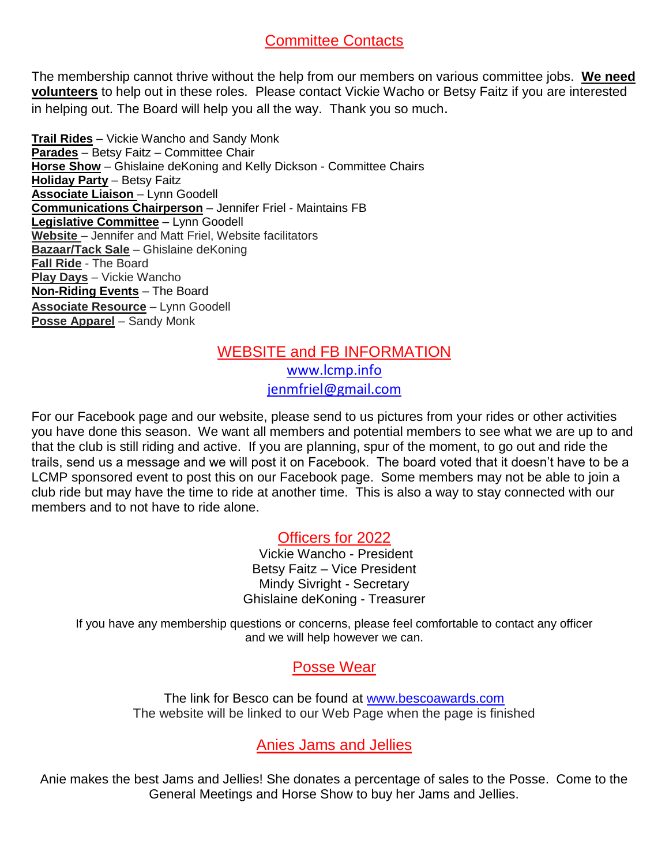### Committee Contacts

The membership cannot thrive without the help from our members on various committee jobs. **We need volunteers** to help out in these roles. Please contact Vickie Wacho or Betsy Faitz if you are interested in helping out. The Board will help you all the way. Thank you so much.

**Trail Rides** – Vickie Wancho and Sandy Monk **Parades** – Betsy Faitz – Committee Chair **Horse Show** – Ghislaine deKoning and Kelly Dickson - Committee Chairs **Holiday Party** – Betsy Faitz **Associate Liaison** – Lynn Goodell **Communications Chairperson** – Jennifer Friel - Maintains FB **Legislative Committee** – Lynn Goodell **Website** – Jennifer and Matt Friel, Website facilitators **Bazaar/Tack Sale** – Ghislaine deKoning **Fall Ride** - The Board **Play Days** – Vickie Wancho **Non-Riding Events** – The Board **Associate Resource** – Lynn Goodell **Posse Apparel** – Sandy Monk

### WEBSITE and FB INFORMATION [www.lcmp.info](http://www.lcmp.info/) [jenmfriel@gmail.com](mailto:bhoughtaling1248@gmail.com)

For our Facebook page and our website, please send to us pictures from your rides or other activities you have done this season. We want all members and potential members to see what we are up to and that the club is still riding and active. If you are planning, spur of the moment, to go out and ride the trails, send us a message and we will post it on Facebook. The board voted that it doesn't have to be a LCMP sponsored event to post this on our Facebook page. Some members may not be able to join a club ride but may have the time to ride at another time. This is also a way to stay connected with our members and to not have to ride alone.

Officers for 2022

Vickie Wancho - President Betsy Faitz – Vice President Mindy Sivright - Secretary Ghislaine deKoning - Treasurer

If you have any membership questions or concerns, please feel comfortable to contact any officer and we will help however we can.

### Posse Wear

The link for Besco can be found at [www.bescoawards.com](http://www.bescoawards.com/)  The website will be linked to our Web Page when the page is finished

Anies Jams and Jellies

Anie makes the best Jams and Jellies! She donates a percentage of sales to the Posse. Come to the General Meetings and Horse Show to buy her Jams and Jellies.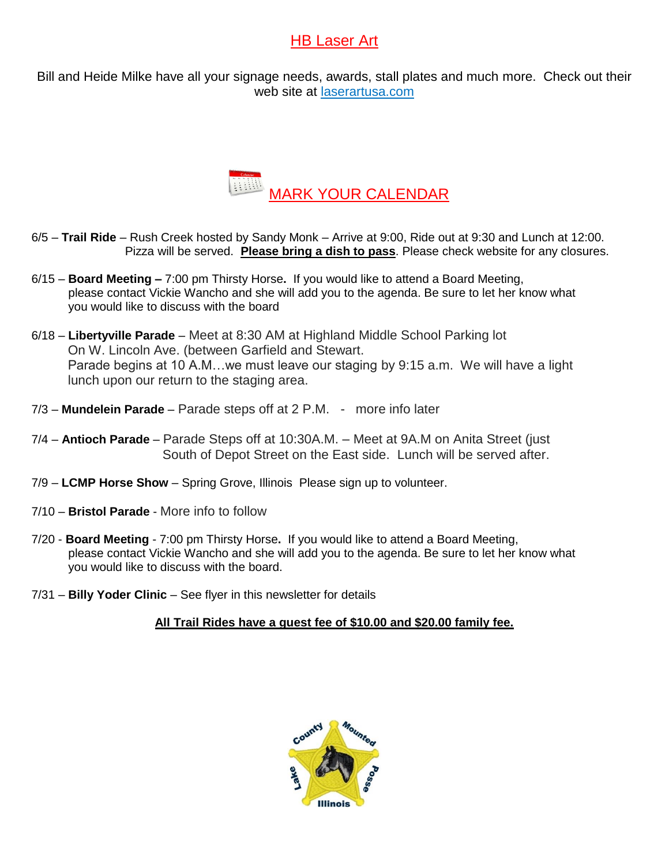## HB Laser Art

Bill and Heide Milke have all your signage needs, awards, stall plates and much more. Check out their web site at laserartusa.com



- 6/5 **Trail Ride** Rush Creek hosted by Sandy Monk Arrive at 9:00, Ride out at 9:30 and Lunch at 12:00. Pizza will be served. **Please bring a dish to pass**. Please check website for any closures.
- 6/15 **Board Meeting –** 7:00 pm Thirsty Horse**.** If you would like to attend a Board Meeting, please contact Vickie Wancho and she will add you to the agenda. Be sure to let her know what you would like to discuss with the board
- 6/18 **Libertyville Parade** Meet at 8:30 AM at Highland Middle School Parking lot On W. Lincoln Ave. (between Garfield and Stewart. Parade begins at 10 A.M…we must leave our staging by 9:15 a.m. We will have a light lunch upon our return to the staging area.
- 7/3 **Mundelein Parade** Parade steps off at 2 P.M. more info later
- 7/4 **Antioch Parade** Parade Steps off at 10:30A.M. Meet at 9A.M on Anita Street (just South of Depot Street on the East side. Lunch will be served after.
- 7/9 **LCMP Horse Show**  Spring Grove, Illinois Please sign up to volunteer.
- 7/10 **Bristol Parade** More info to follow
- 7/20 **Board Meeting** 7:00 pm Thirsty Horse**.** If you would like to attend a Board Meeting, please contact Vickie Wancho and she will add you to the agenda. Be sure to let her know what you would like to discuss with the board.
- 7/31 **Billy Yoder Clinic** See flyer in this newsletter for details

#### **All Trail Rides have a guest fee of \$10.00 and \$20.00 family fee.**

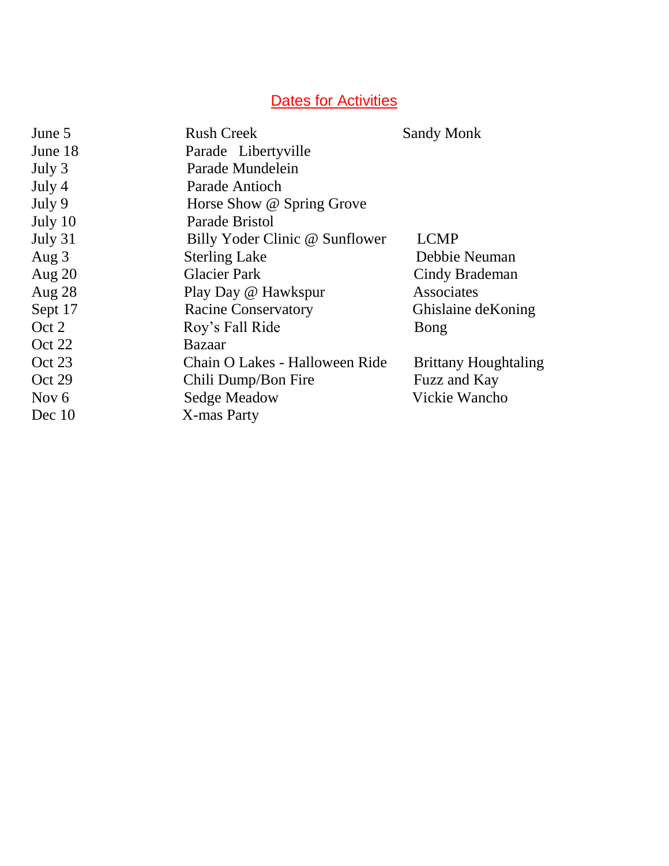# **Dates for Activities**

| June 5   | <b>Rush Creek</b>              | <b>Sandy Monk</b>           |
|----------|--------------------------------|-----------------------------|
| June 18  | Parade Libertyville            |                             |
| July 3   | Parade Mundelein               |                             |
| July 4   | Parade Antioch                 |                             |
| July 9   | Horse Show @ Spring Grove      |                             |
| July 10  | Parade Bristol                 |                             |
| July 31  | Billy Yoder Clinic @ Sunflower | <b>LCMP</b>                 |
| Aug $3$  | <b>Sterling Lake</b>           | Debbie Neuman               |
| Aug $20$ | <b>Glacier Park</b>            | Cindy Brademan              |
| Aug $28$ | Play Day @ Hawkspur            | Associates                  |
| Sept 17  | <b>Racine Conservatory</b>     | Ghislaine de Koning         |
| Oct 2    | Roy's Fall Ride                | Bong                        |
| Oct 22   | Bazaar                         |                             |
| Oct 23   | Chain O Lakes - Halloween Ride | <b>Brittany Houghtaling</b> |
| Oct 29   | Chili Dump/Bon Fire            | Fuzz and Kay                |
| Nov $6$  | Sedge Meadow                   | Vickie Wancho               |
| Dec 10   | X-mas Party                    |                             |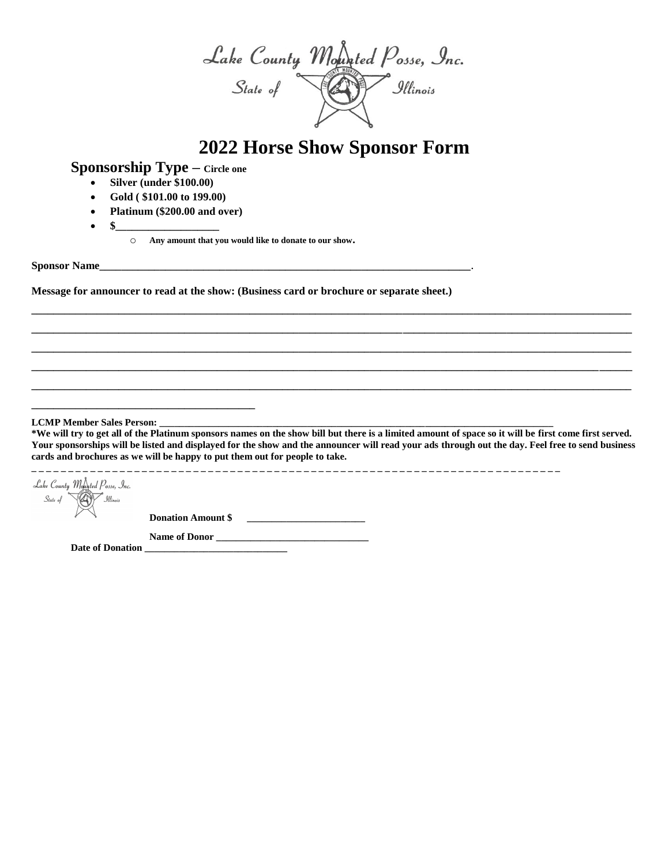Lake County Mounted Posse, Inc.<br>State of **CON** Illinois

# **2022 Horse Show Sponsor Form**

**Sponsorship Type – Circle one**

- **Silver (under \$100.00)**
- **Gold ( \$101.00 to 199.00)**
- **Platinum (\$200.00 and over)**
- **\$\_\_\_\_\_\_\_\_\_\_\_\_\_\_\_\_\_\_\_**
	- o **Any amount that you would like to donate to our show.**

**Sponsor Name\_\_\_\_\_\_\_\_\_\_\_\_\_\_\_\_\_\_\_\_\_\_\_\_\_\_\_\_\_\_\_\_\_\_\_\_\_\_\_\_\_\_\_\_\_\_\_\_\_\_\_\_\_\_\_\_\_\_\_\_\_\_\_\_\_\_\_\_.** 

**Message for announcer to read at the show: (Business card or brochure or separate sheet.)** 

**LCMP Member Sales Person:** 

**\*We will try to get all of the Platinum sponsors names on the show bill but there is a limited amount of space so it will be first come first served. Your sponsorships will be listed and displayed for the show and the announcer will read your ads through out the day. Feel free to send business cards and brochures as we will be happy to put them out for people to take.**

**\_\_\_\_\_\_\_\_\_\_\_\_\_\_\_\_\_\_\_\_\_\_\_\_\_\_\_\_\_\_\_\_\_\_\_\_\_\_\_\_\_\_\_\_\_\_\_\_\_\_\_\_\_\_\_\_\_\_\_\_\_\_\_\_\_\_\_\_\_\_\_\_\_\_\_\_\_\_\_\_\_\_\_\_\_\_\_\_\_\_\_\_\_\_\_\_\_\_\_\_\_\_\_\_\_\_\_\_\_\_ \_\_\_\_\_\_\_\_\_\_\_\_\_\_\_\_\_\_\_\_\_\_\_\_\_\_\_\_\_\_\_\_\_\_\_\_\_\_\_\_\_\_\_\_\_\_\_\_\_\_\_\_\_\_\_\_\_\_\_\_\_\_\_\_\_\_\_\_\_\_\_\_\_\_\_\_\_\_\_\_\_\_\_\_\_\_\_\_\_\_\_\_\_\_\_\_\_\_\_\_\_\_\_\_\_\_\_\_\_\_ \_\_\_\_\_\_\_\_\_\_\_\_\_\_\_\_\_\_\_\_\_\_\_\_\_\_\_\_\_\_\_\_\_\_\_\_\_\_\_\_\_\_\_\_\_\_\_\_\_\_\_\_\_\_\_\_\_\_\_\_\_\_\_\_\_\_\_\_\_\_\_\_\_\_\_\_\_\_\_\_\_\_\_\_\_\_\_\_\_\_\_\_\_\_\_\_\_\_\_\_\_\_\_\_\_\_\_\_\_\_ \_\_\_\_\_\_\_\_\_\_\_\_\_\_\_\_\_\_\_\_\_\_\_\_\_\_\_\_\_\_\_\_\_\_\_\_\_\_\_\_\_\_\_\_\_\_\_\_\_\_\_\_\_\_\_\_\_\_\_\_\_\_\_\_\_\_\_\_\_\_\_\_\_\_\_\_\_\_\_\_\_\_\_\_\_\_\_\_\_\_\_\_\_\_\_\_\_\_\_\_\_\_\_\_\_\_\_\_\_\_ \_\_\_\_\_\_\_\_\_\_\_\_\_\_\_\_\_\_\_\_\_\_\_\_\_\_\_\_\_\_\_\_\_\_\_\_\_\_\_\_\_\_\_\_\_\_\_\_\_\_\_\_\_\_\_\_\_\_\_\_\_\_\_\_\_\_\_\_\_\_\_\_\_\_\_\_\_\_\_\_\_\_\_\_\_\_\_\_\_\_\_\_\_\_\_\_\_\_\_\_\_\_\_\_\_\_\_\_\_\_**

**\_ \_ \_ \_ \_ \_ \_ \_ \_ \_ \_ \_ \_ \_ \_ \_ \_ \_ \_ \_ \_ \_ \_ \_ \_ \_ \_ \_ \_ \_ \_ \_ \_ \_ \_ \_ \_ \_ \_ \_ \_ \_ \_ \_ \_ \_ \_ \_ \_ \_ \_ \_ \_ \_ \_ \_ \_ \_ \_ \_ \_ \_ \_ \_ \_ \_ \_ \_ \_ \_ \_ \_** 

Lake County Mounted Posse, Inc.  $State\ of$ a<br>-<br>Illinois

**Donation Amount \$ \_\_\_\_\_\_\_\_\_\_\_\_\_\_\_\_\_\_\_\_\_\_\_\_\_** 

**Name of Donor \_\_\_\_\_\_\_\_\_\_\_\_\_\_\_\_\_\_\_\_\_\_\_\_\_\_\_\_\_\_\_ Date of Donation \_\_\_\_\_\_\_\_\_\_\_\_\_\_\_\_\_\_\_\_\_\_\_\_\_\_\_\_\_**

**\_\_\_\_\_\_\_\_\_\_\_\_\_\_\_\_\_\_\_\_\_\_\_\_\_\_\_\_\_\_\_\_\_\_\_\_\_\_\_\_\_**